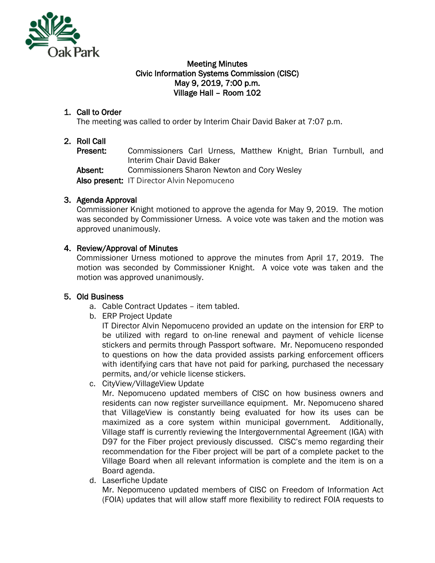

#### Meeting Minutes Civic Information Systems Commission (CISC) May 9, 2019, 7:00 p.m. Village Hall – Room 102

## 1. Call to Order

The meeting was called to order by Interim Chair David Baker at 7:07 p.m.

## 2. Roll Call

Present: Commissioners Carl Urness, Matthew Knight, Brian Turnbull, and Interim Chair David Baker

Absent: Commissioners Sharon Newton and Cory Wesley

Also present: IT Director Alvin Nepomuceno

### 3. Agenda Approval

Commissioner Knight motioned to approve the agenda for May 9, 2019. The motion was seconded by Commissioner Urness. A voice vote was taken and the motion was approved unanimously.

### 4. Review/Approval of Minutes

Commissioner Urness motioned to approve the minutes from April 17, 2019. The motion was seconded by Commissioner Knight. A voice vote was taken and the motion was approved unanimously.

#### 5. Old Business

- a. Cable Contract Updates item tabled.
- b. ERP Project Update

IT Director Alvin Nepomuceno provided an update on the intension for ERP to be utilized with regard to on-line renewal and payment of vehicle license stickers and permits through Passport software. Mr. Nepomuceno responded to questions on how the data provided assists parking enforcement officers with identifying cars that have not paid for parking, purchased the necessary permits, and/or vehicle license stickers.

c. CityView/VillageView Update

Mr. Nepomuceno updated members of CISC on how business owners and residents can now register surveillance equipment. Mr. Nepomuceno shared that VillageView is constantly being evaluated for how its uses can be maximized as a core system within municipal government. Additionally, Village staff is currently reviewing the Intergovernmental Agreement (IGA) with D97 for the Fiber project previously discussed. CISC's memo regarding their recommendation for the Fiber project will be part of a complete packet to the Village Board when all relevant information is complete and the item is on a Board agenda.

d. Laserfiche Update

Mr. Nepomuceno updated members of CISC on Freedom of Information Act (FOIA) updates that will allow staff more flexibility to redirect FOIA requests to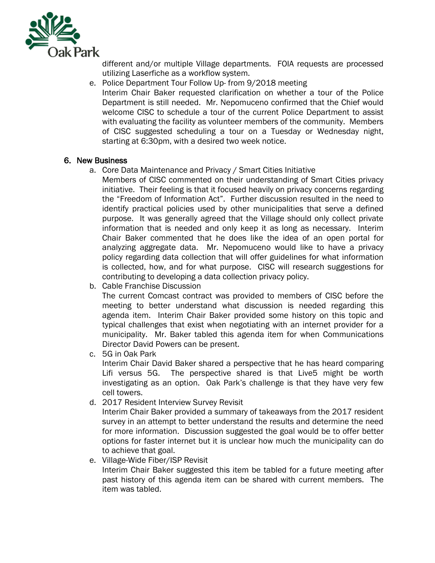

different and/or multiple Village departments. FOIA requests are processed utilizing Laserfiche as a workflow system.

e. Police Department Tour Follow Up- from 9/2018 meeting Interim Chair Baker requested clarification on whether a tour of the Police Department is still needed. Mr. Nepomuceno confirmed that the Chief would welcome CISC to schedule a tour of the current Police Department to assist with evaluating the facility as volunteer members of the community. Members of CISC suggested scheduling a tour on a Tuesday or Wednesday night, starting at 6:30pm, with a desired two week notice.

#### 6. New Business

- a. Core Data Maintenance and Privacy / Smart Cities Initiative
	- Members of CISC commented on their understanding of Smart Cities privacy initiative. Their feeling is that it focused heavily on privacy concerns regarding the "Freedom of Information Act". Further discussion resulted in the need to identify practical policies used by other municipalities that serve a defined purpose. It was generally agreed that the Village should only collect private information that is needed and only keep it as long as necessary. Interim Chair Baker commented that he does like the idea of an open portal for analyzing aggregate data. Mr. Nepomuceno would like to have a privacy policy regarding data collection that will offer guidelines for what information is collected, how, and for what purpose. CISC will research suggestions for contributing to developing a data collection privacy policy.
- b. Cable Franchise Discussion

The current Comcast contract was provided to members of CISC before the meeting to better understand what discussion is needed regarding this agenda item. Interim Chair Baker provided some history on this topic and typical challenges that exist when negotiating with an internet provider for a municipality. Mr. Baker tabled this agenda item for when Communications Director David Powers can be present.

c. 5G in Oak Park

Interim Chair David Baker shared a perspective that he has heard comparing Lifi versus 5G. The perspective shared is that Live5 might be worth investigating as an option. Oak Park's challenge is that they have very few cell towers.

d. 2017 Resident Interview Survey Revisit

Interim Chair Baker provided a summary of takeaways from the 2017 resident survey in an attempt to better understand the results and determine the need for more information. Discussion suggested the goal would be to offer better options for faster internet but it is unclear how much the municipality can do to achieve that goal.

e. Village-Wide Fiber/ISP Revisit

Interim Chair Baker suggested this item be tabled for a future meeting after past history of this agenda item can be shared with current members. The item was tabled.